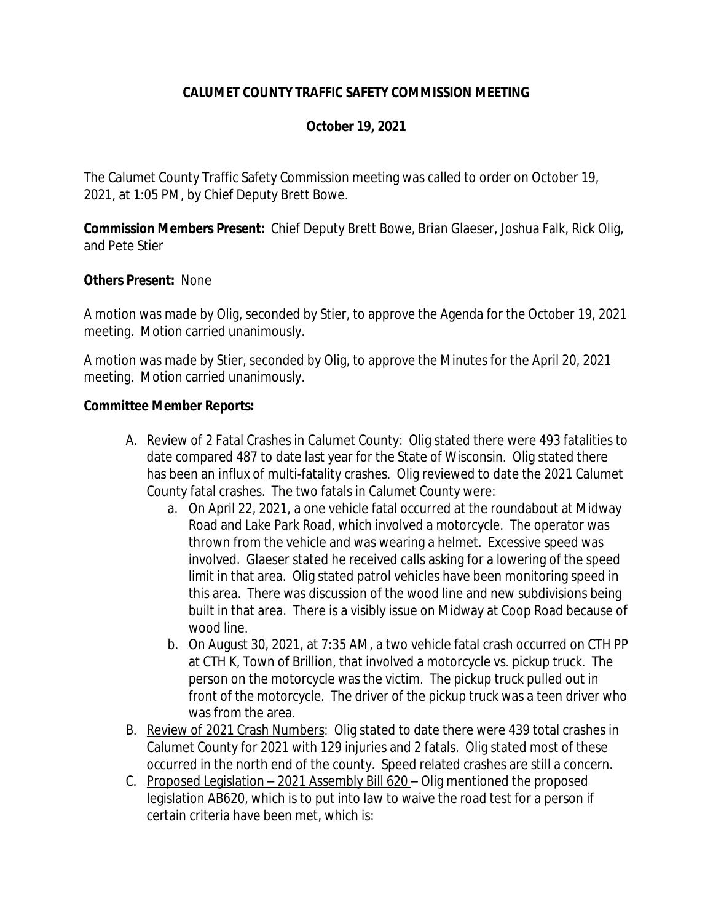## **CALUMET COUNTY TRAFFIC SAFETY COMMISSION MEETING**

## **October 19, 2021**

The Calumet County Traffic Safety Commission meeting was called to order on October 19, 2021, at 1:05 PM, by Chief Deputy Brett Bowe.

**Commission Members Present:** Chief Deputy Brett Bowe, Brian Glaeser, Joshua Falk, Rick Olig, and Pete Stier

### **Others Present:** None

A motion was made by Olig, seconded by Stier, to approve the Agenda for the October 19, 2021 meeting. Motion carried unanimously.

A motion was made by Stier, seconded by Olig, to approve the Minutes for the April 20, 2021 meeting. Motion carried unanimously.

### **Committee Member Reports:**

- A. Review of 2 Fatal Crashes in Calumet County: Olig stated there were 493 fatalities to date compared 487 to date last year for the State of Wisconsin. Olig stated there has been an influx of multi-fatality crashes. Olig reviewed to date the 2021 Calumet County fatal crashes. The two fatals in Calumet County were:
	- a. On April 22, 2021, a one vehicle fatal occurred at the roundabout at Midway Road and Lake Park Road, which involved a motorcycle. The operator was thrown from the vehicle and was wearing a helmet. Excessive speed was involved. Glaeser stated he received calls asking for a lowering of the speed limit in that area. Olig stated patrol vehicles have been monitoring speed in this area. There was discussion of the wood line and new subdivisions being built in that area. There is a visibly issue on Midway at Coop Road because of wood line.
	- b. On August 30, 2021, at 7:35 AM, a two vehicle fatal crash occurred on CTH PP at CTH K, Town of Brillion, that involved a motorcycle vs. pickup truck. The person on the motorcycle was the victim. The pickup truck pulled out in front of the motorcycle. The driver of the pickup truck was a teen driver who was from the area.
- B. Review of 2021 Crash Numbers: Olig stated to date there were 439 total crashes in Calumet County for 2021 with 129 injuries and 2 fatals. Olig stated most of these occurred in the north end of the county. Speed related crashes are still a concern.
- C. Proposed Legislation 2021 Assembly Bill 620 Olig mentioned the proposed legislation AB620, which is to put into law to waive the road test for a person if certain criteria have been met, which is: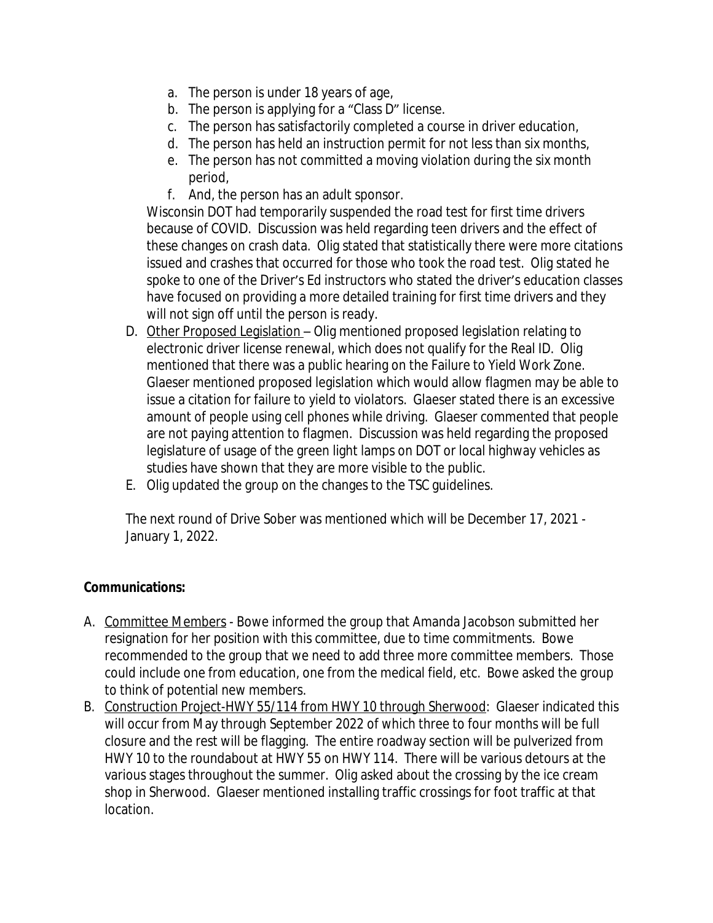- a. The person is under 18 years of age,
- b. The person is applying for a "Class D" license.
- c. The person has satisfactorily completed a course in driver education,
- d. The person has held an instruction permit for not less than six months,
- e. The person has not committed a moving violation during the six month period,
- f. And, the person has an adult sponsor.

Wisconsin DOT had temporarily suspended the road test for first time drivers because of COVID. Discussion was held regarding teen drivers and the effect of these changes on crash data. Olig stated that statistically there were more citations issued and crashes that occurred for those who took the road test. Olig stated he spoke to one of the Driver's Ed instructors who stated the driver's education classes have focused on providing a more detailed training for first time drivers and they will not sign off until the person is ready.

- D. Other Proposed Legislation Olig mentioned proposed legislation relating to electronic driver license renewal, which does not qualify for the Real ID. Olig mentioned that there was a public hearing on the Failure to Yield Work Zone. Glaeser mentioned proposed legislation which would allow flagmen may be able to issue a citation for failure to yield to violators. Glaeser stated there is an excessive amount of people using cell phones while driving. Glaeser commented that people are not paying attention to flagmen. Discussion was held regarding the proposed legislature of usage of the green light lamps on DOT or local highway vehicles as studies have shown that they are more visible to the public.
- E. Olig updated the group on the changes to the TSC guidelines.

The next round of Drive Sober was mentioned which will be December 17, 2021 - January 1, 2022.

## **Communications:**

- A. Committee Members Bowe informed the group that Amanda Jacobson submitted her resignation for her position with this committee, due to time commitments. Bowe recommended to the group that we need to add three more committee members. Those could include one from education, one from the medical field, etc. Bowe asked the group to think of potential new members.
- B. Construction Project-HWY 55/114 from HWY 10 through Sherwood: Glaeser indicated this will occur from May through September 2022 of which three to four months will be full closure and the rest will be flagging. The entire roadway section will be pulverized from HWY 10 to the roundabout at HWY 55 on HWY 114. There will be various detours at the various stages throughout the summer. Olig asked about the crossing by the ice cream shop in Sherwood. Glaeser mentioned installing traffic crossings for foot traffic at that location.